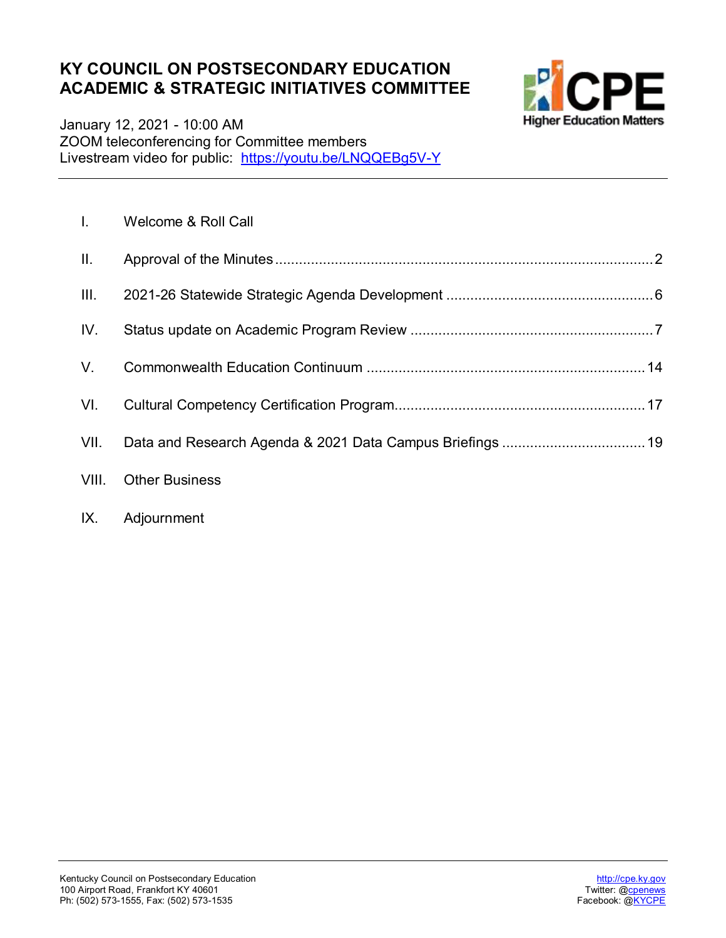#### **KY COUNCIL ON POSTSECONDARY EDUCATION ACADEMIC & STRATEGIC INITIATIVES COMMITTEE**



January 12, 2021 - 10:00 AM ZOOM teleconferencing for Committee members Livestream video for public: <u><https://youtu.be/LNQQEBg5V-Y></u>

| $\mathbf{L}$    | Welcome & Roll Call   |
|-----------------|-----------------------|
| $\mathbf{II}$ . |                       |
| III.            |                       |
| IV.             |                       |
| V.              |                       |
| VI.             |                       |
| VII.            |                       |
| VIII.           | <b>Other Business</b> |
|                 |                       |

#### IX. Adjournment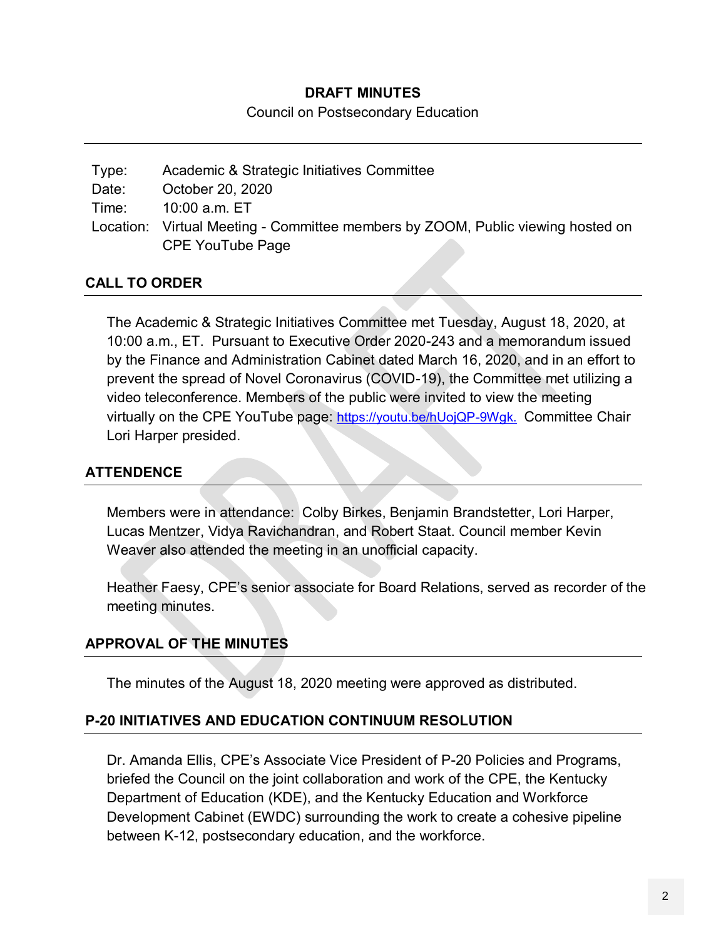#### **DRAFT MINUTES**

Council on Postsecondary Education

| Type: | Academic & Strategic Initiatives Committee                                      |
|-------|---------------------------------------------------------------------------------|
| Date: | October 20, 2020                                                                |
| Time: | 10:00 a.m. ET                                                                   |
|       | Location: Virtual Meeting - Committee members by ZOOM, Public viewing hosted on |
|       | <b>CPE YouTube Page</b>                                                         |

#### **CALL TO ORDER**

The Academic & Strategic Initiatives Committee met Tuesday, August 18, 2020, at 10:00 a.m., ET. Pursuant to Executive Order 2020-243 and a memorandum issued by the Finance and Administration Cabinet dated March 16, 2020, and in an effort to prevent the spread of Novel Coronavirus (COVID-19), the Committee met utilizing a video teleconference. Members of the public were invited to view the meeting virtually on the CPE YouTube page: [https://youtu.be/hUojQP-9Wgk.](https://youtu.be/hUojQP-9Wgk) Committee Chair Lori Harper presided.

#### **ATTENDENCE**

Members were in attendance: Colby Birkes, Benjamin Brandstetter, Lori Harper, Lucas Mentzer, Vidya Ravichandran, and Robert Staat. Council member Kevin Weaver also attended the meeting in an unofficial capacity.

Heather Faesy, CPE's senior associate for Board Relations, served as recorder of the meeting minutes.

#### **APPROVAL OF THE MINUTES**

The minutes of the August 18, 2020 meeting were approved as distributed.

#### **P-20 INITIATIVES AND EDUCATION CONTINUUM RESOLUTION**

Dr. Amanda Ellis, CPE's Associate Vice President of P-20 Policies and Programs, briefed the Council on the joint collaboration and work of the CPE, the Kentucky Department of Education (KDE), and the Kentucky Education and Workforce Development Cabinet (EWDC) surrounding the work to create a cohesive pipeline between K-12, postsecondary education, and the workforce.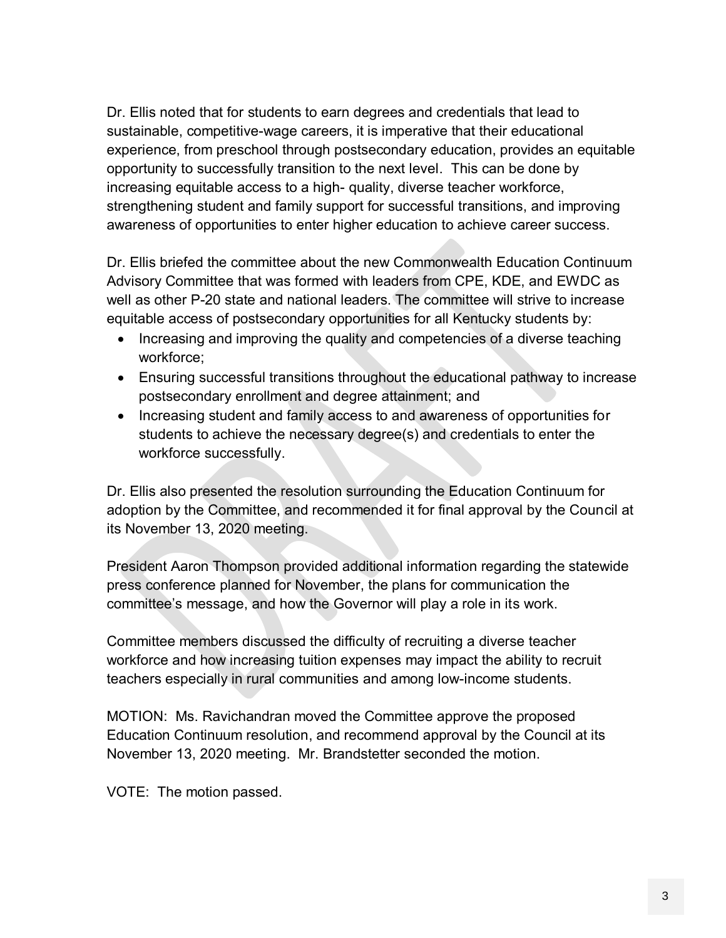Dr. Ellis noted that for students to earn degrees and credentials that lead to sustainable, competitive-wage careers, it is imperative that their educational experience, from preschool through postsecondary education, provides an equitable opportunity to successfully transition to the next level. This can be done by increasing equitable access to a high- quality, diverse teacher workforce, strengthening student and family support for successful transitions, and improving awareness of opportunities to enter higher education to achieve career success.

Dr. Ellis briefed the committee about the new Commonwealth Education Continuum Advisory Committee that was formed with leaders from CPE, KDE, and EWDC as well as other P-20 state and national leaders. The committee will strive to increase equitable access of postsecondary opportunities for all Kentucky students by:

- Increasing and improving the quality and competencies of a diverse teaching workforce;
- Ensuring successful transitions throughout the educational pathway to increase postsecondary enrollment and degree attainment; and
- Increasing student and family access to and awareness of opportunities for students to achieve the necessary degree(s) and credentials to enter the workforce successfully.

Dr. Ellis also presented the resolution surrounding the Education Continuum for adoption by the Committee, and recommended it for final approval by the Council at its November 13, 2020 meeting.

President Aaron Thompson provided additional information regarding the statewide press conference planned for November, the plans for communication the committee's message, and how the Governor will play a role in its work.

Committee members discussed the difficulty of recruiting a diverse teacher workforce and how increasing tuition expenses may impact the ability to recruit teachers especially in rural communities and among low-income students.

MOTION: Ms. Ravichandran moved the Committee approve the proposed Education Continuum resolution, and recommend approval by the Council at its November 13, 2020 meeting. Mr. Brandstetter seconded the motion.

VOTE: The motion passed.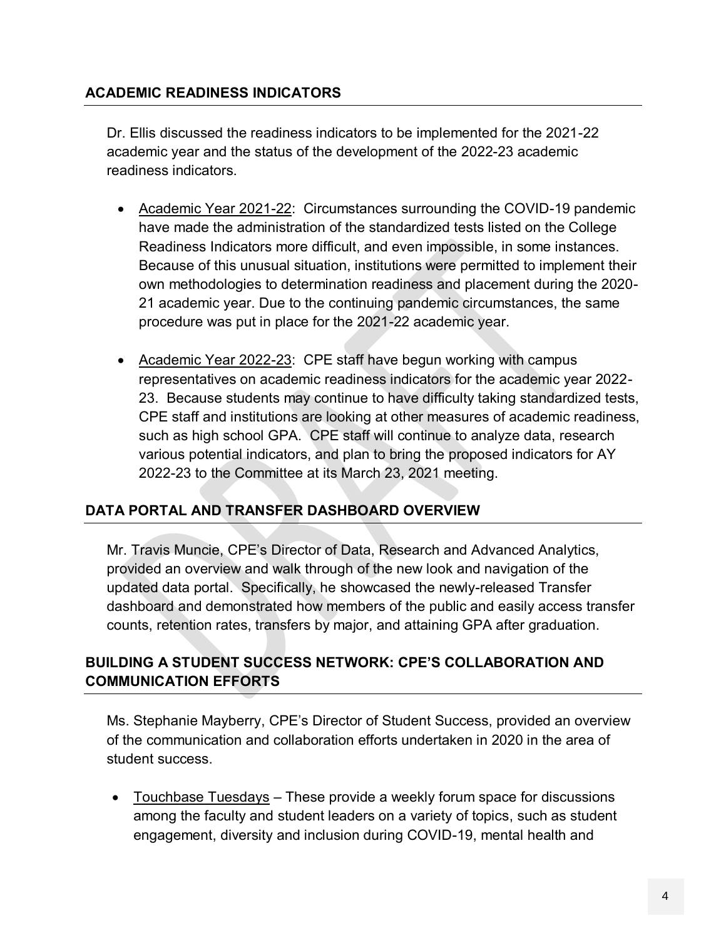#### **ACADEMIC READINESS INDICATORS**

Dr. Ellis discussed the readiness indicators to be implemented for the 2021-22 academic year and the status of the development of the 2022-23 academic readiness indicators.

- Academic Year 2021-22: Circumstances surrounding the COVID-19 pandemic have made the administration of the standardized tests listed on the College Readiness Indicators more difficult, and even impossible, in some instances. Because of this unusual situation, institutions were permitted to implement their own methodologies to determination readiness and placement during the 2020- 21 academic year. Due to the continuing pandemic circumstances, the same procedure was put in place for the 2021-22 academic year.
- Academic Year 2022-23: CPE staff have begun working with campus representatives on academic readiness indicators for the academic year 2022- 23. Because students may continue to have difficulty taking standardized tests, CPE staff and institutions are looking at other measures of academic readiness, such as high school GPA. CPE staff will continue to analyze data, research various potential indicators, and plan to bring the proposed indicators for AY 2022-23 to the Committee at its March 23, 2021 meeting.

#### **DATA PORTAL AND TRANSFER DASHBOARD OVERVIEW**

Mr. Travis Muncie, CPE's Director of Data, Research and Advanced Analytics, provided an overview and walk through of the new look and navigation of the updated data portal. Specifically, he showcased the newly-released Transfer dashboard and demonstrated how members of the public and easily access transfer counts, retention rates, transfers by major, and attaining GPA after graduation.

#### **BUILDING A STUDENT SUCCESS NETWORK: CPE'S COLLABORATION AND COMMUNICATION EFFORTS**

Ms. Stephanie Mayberry, CPE's Director of Student Success, provided an overview of the communication and collaboration efforts undertaken in 2020 in the area of student success.

 Touchbase Tuesdays – These provide a weekly forum space for discussions among the faculty and student leaders on a variety of topics, such as student engagement, diversity and inclusion during COVID-19, mental health and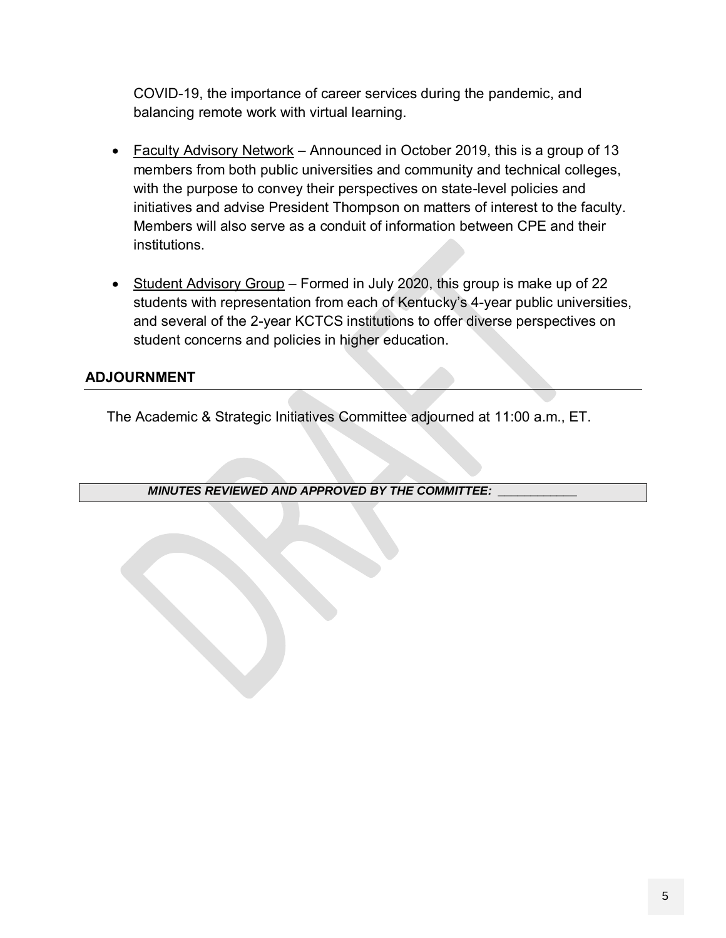COVID-19, the importance of career services during the pandemic, and balancing remote work with virtual learning.

- Faculty Advisory Network Announced in October 2019, this is a group of 13 members from both public universities and community and technical colleges, with the purpose to convey their perspectives on state-level policies and initiatives and advise President Thompson on matters of interest to the faculty. Members will also serve as a conduit of information between CPE and their institutions.
- Student Advisory Group Formed in July 2020, this group is make up of 22 students with representation from each of Kentucky's 4-year public universities, and several of the 2-year KCTCS institutions to offer diverse perspectives on student concerns and policies in higher education.

#### **ADJOURNMENT**

The Academic & Strategic Initiatives Committee adjourned at 11:00 a.m., ET.

*MINUTES REVIEWED AND APPROVED BY THE COMMITTEE: \_\_\_\_\_\_\_\_\_\_\_\_*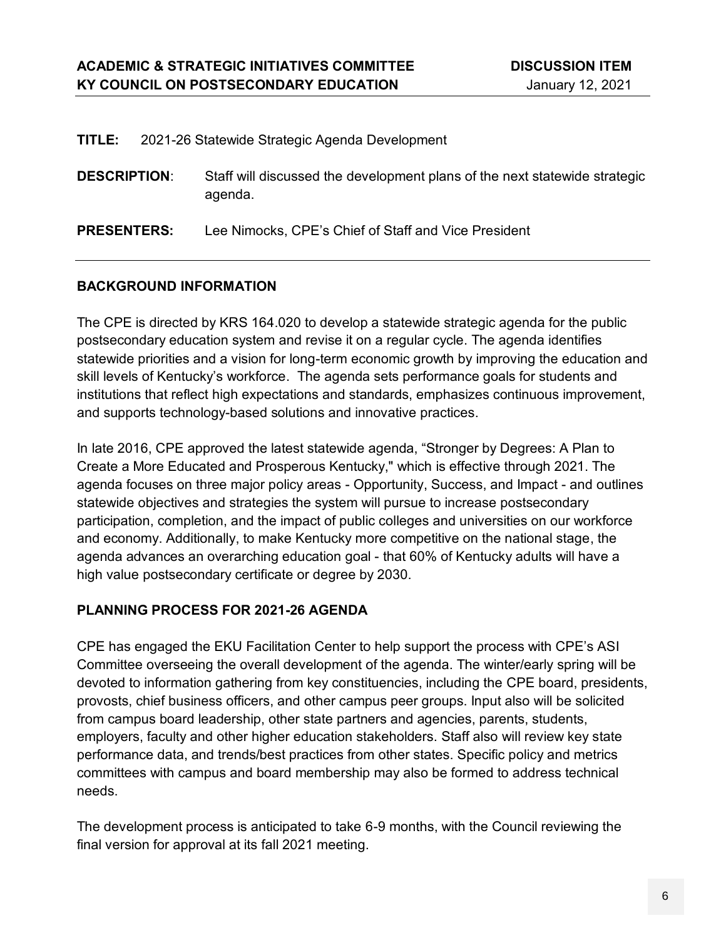|  | TITLE: 2021-26 Statewide Strategic Agenda Development |  |
|--|-------------------------------------------------------|--|
|--|-------------------------------------------------------|--|

| <b>DESCRIPTION:</b> | Staff will discussed the development plans of the next statewide strategic |
|---------------------|----------------------------------------------------------------------------|
|                     | agenda.                                                                    |

**PRESENTERS:** Lee Nimocks, CPE's Chief of Staff and Vice President

#### **BACKGROUND INFORMATION**

The CPE is directed by KRS 164.020 to develop a statewide strategic agenda for the public postsecondary education system and revise it on a regular cycle. The agenda identifies statewide priorities and a vision for long-term economic growth by improving the education and skill levels of Kentucky's workforce. The agenda sets performance goals for students and institutions that reflect high expectations and standards, emphasizes continuous improvement, and supports technology-based solutions and innovative practices.

In late 2016, CPE approved the latest statewide agenda, "Stronger by Degrees: A Plan to Create a More Educated and Prosperous Kentucky," which is effective through 2021. The agenda focuses on three major policy areas - Opportunity, Success, and Impact - and outlines statewide objectives and strategies the system will pursue to increase postsecondary participation, completion, and the impact of public colleges and universities on our workforce and economy. Additionally, to make Kentucky more competitive on the national stage, the agenda advances an overarching education goal - that 60% of Kentucky adults will have a high value postsecondary certificate or degree by 2030.

#### **PLANNING PROCESS FOR 2021-26 AGENDA**

CPE has engaged the EKU Facilitation Center to help support the process with CPE's ASI Committee overseeing the overall development of the agenda. The winter/early spring will be devoted to information gathering from key constituencies, including the CPE board, presidents, provosts, chief business officers, and other campus peer groups. Input also will be solicited from campus board leadership, other state partners and agencies, parents, students, employers, faculty and other higher education stakeholders. Staff also will review key state performance data, and trends/best practices from other states. Specific policy and metrics committees with campus and board membership may also be formed to address technical needs.

The development process is anticipated to take 6-9 months, with the Council reviewing the final version for approval at its fall 2021 meeting.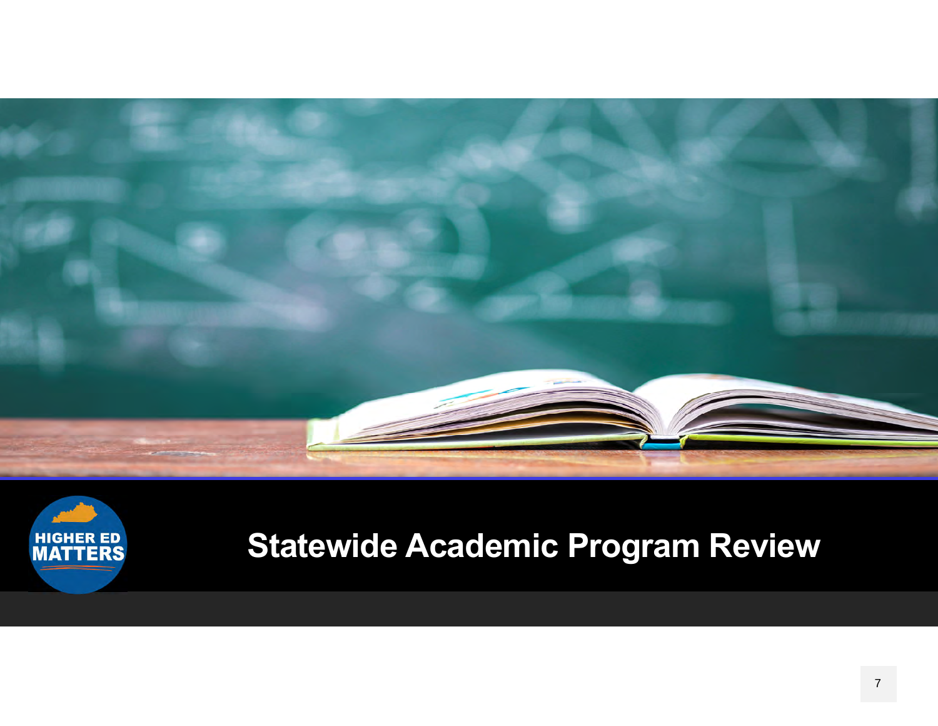



# **Statewide Academic Program Review**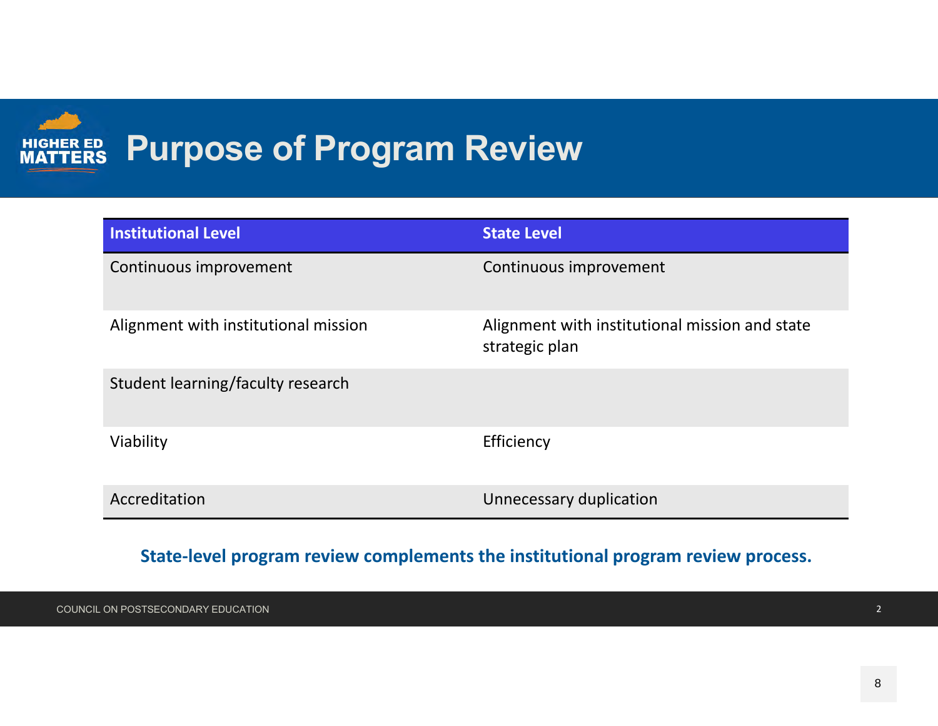### **HIGHER ED**<br>**MATTERS Purpose of Program Review**

| <b>Institutional Level</b>           | <b>State Level</b>                                               |
|--------------------------------------|------------------------------------------------------------------|
| Continuous improvement               | Continuous improvement                                           |
| Alignment with institutional mission | Alignment with institutional mission and state<br>strategic plan |
| Student learning/faculty research    |                                                                  |
| Viability                            | Efficiency                                                       |
| Accreditation                        | Unnecessary duplication                                          |

#### **State‐level program review complements the institutional program review process.**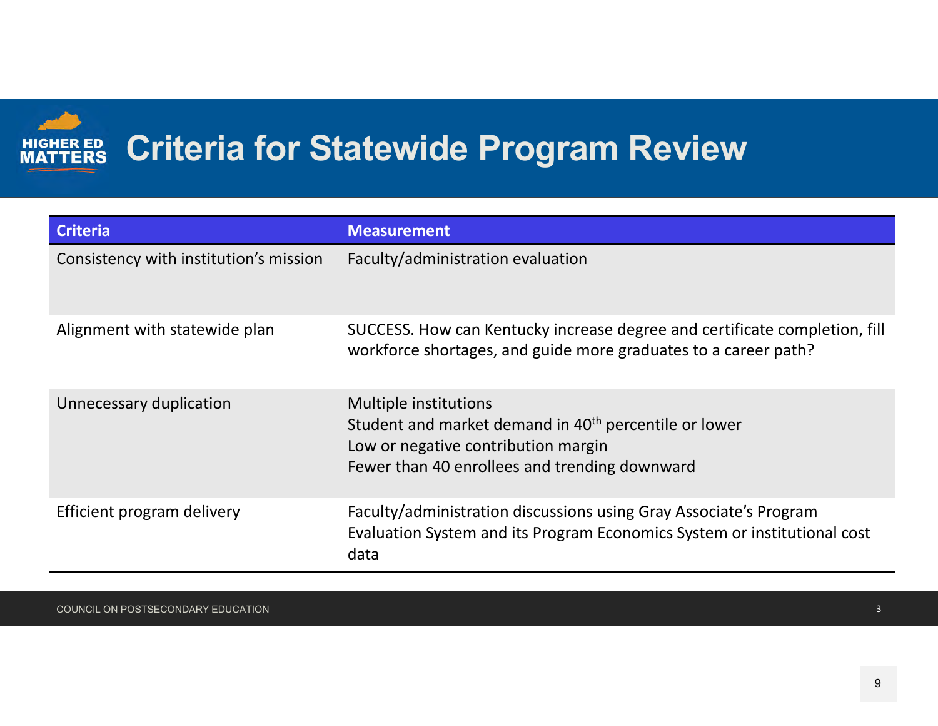

## **Criteria for Statewide Program Review**

| <b>Criteria</b>                        | <b>Measurement</b>                                                                                                                                                                 |
|----------------------------------------|------------------------------------------------------------------------------------------------------------------------------------------------------------------------------------|
| Consistency with institution's mission | Faculty/administration evaluation                                                                                                                                                  |
| Alignment with statewide plan          | SUCCESS. How can Kentucky increase degree and certificate completion, fill<br>workforce shortages, and guide more graduates to a career path?                                      |
| Unnecessary duplication                | Multiple institutions<br>Student and market demand in 40 <sup>th</sup> percentile or lower<br>Low or negative contribution margin<br>Fewer than 40 enrollees and trending downward |
| Efficient program delivery             | Faculty/administration discussions using Gray Associate's Program<br>Evaluation System and its Program Economics System or institutional cost<br>data                              |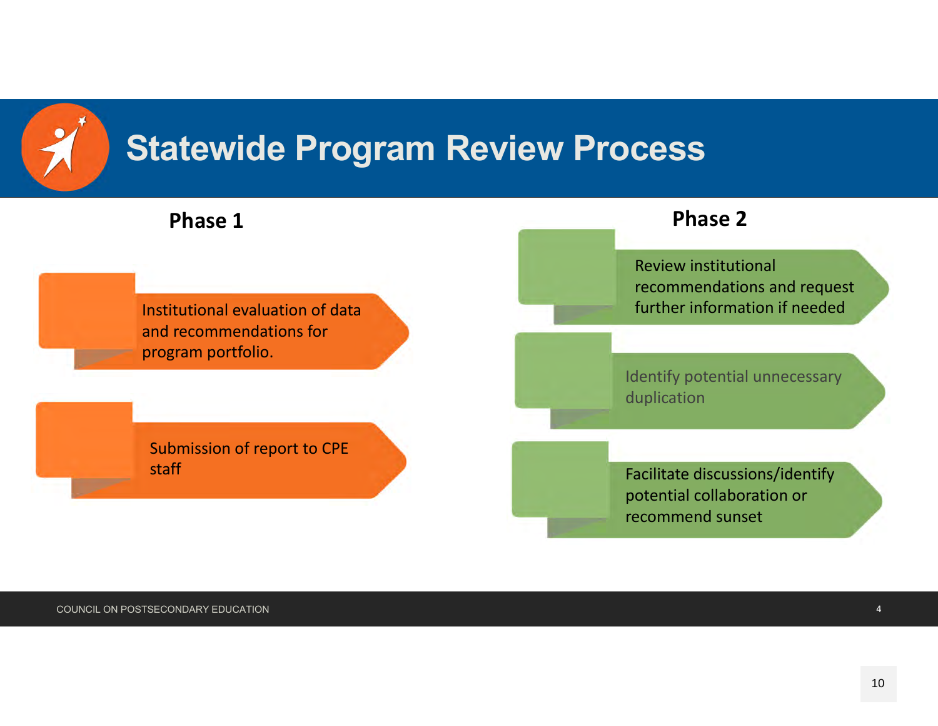

## **Statewide Program Review Process**

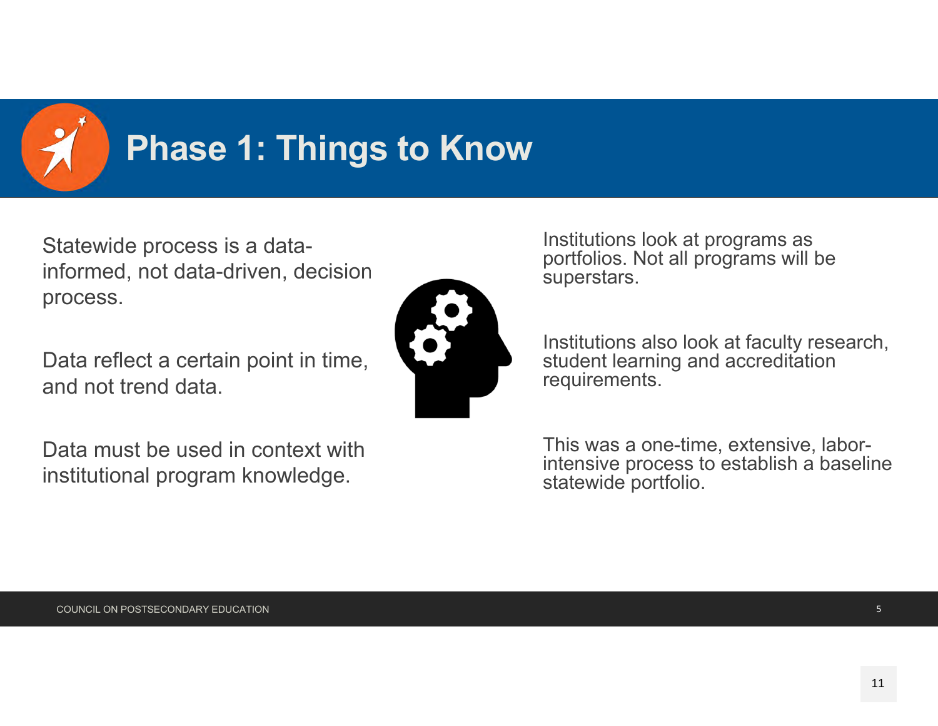

# **Phase 1: Things to Know**

Statewide process is a datainformed, not data-driven, decision process.

Data reflect a certain point in time, and not trend data.

Data must be used in context with institutional program knowledge.



Institutions look at programs as portfolios. Not all programs will be superstars.

Institutions also look at faculty research, student learning and accreditation requirements.

This was a one-time, extensive, laborintensive process to establish a baseline statewide portfolio.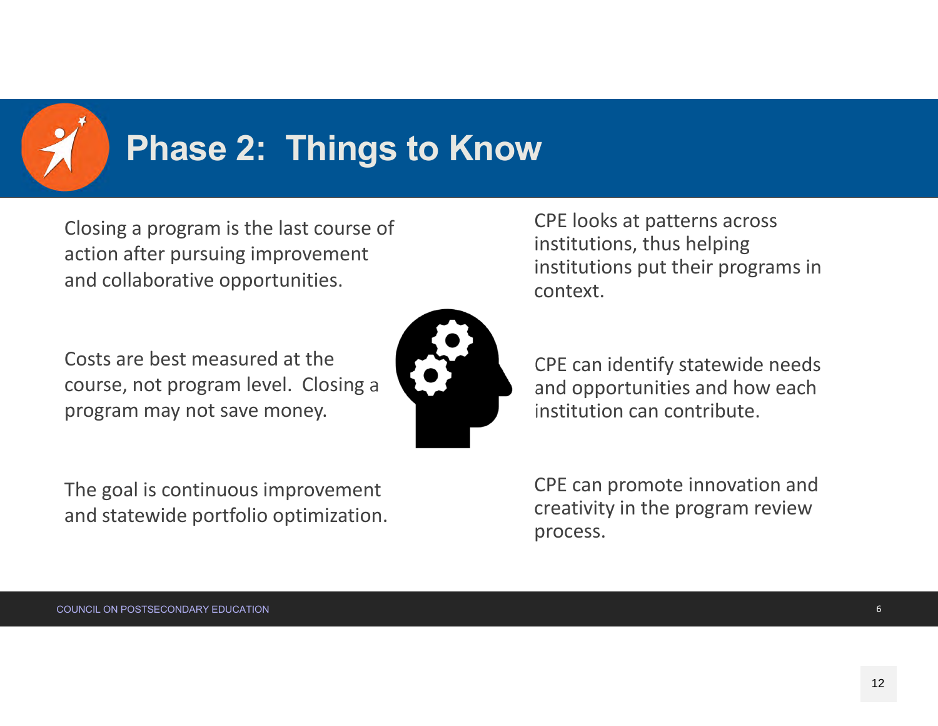

## **Phase 2: Things to Know**

Closing <sup>a</sup> program is the last course of action after pursuing improvement and collaborative opportunities.

Costs are best measured at the course, not program level. Closing <sup>a</sup> program may not save money.



CPE looks at patterns across institutions, thus helping institutions put their programs in context.

CPE can identify statewide needs and opportunities and how each institution can contribute.

The goal is continuous improvement and statewide portfolio optimization.

CPE can promote innovation and creativity in the program review process.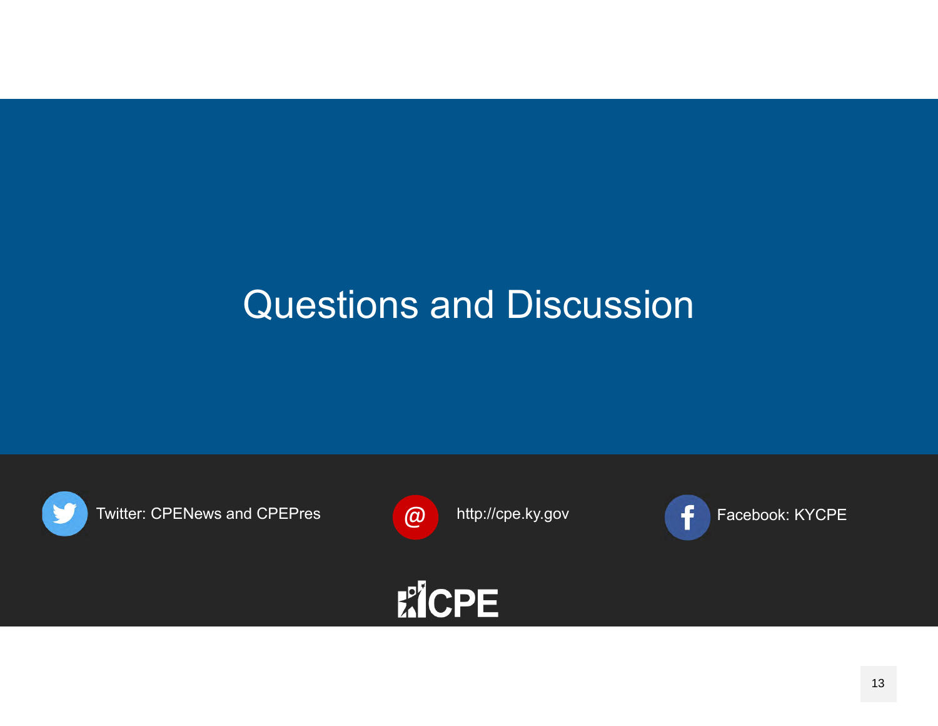## Questions and Discussion

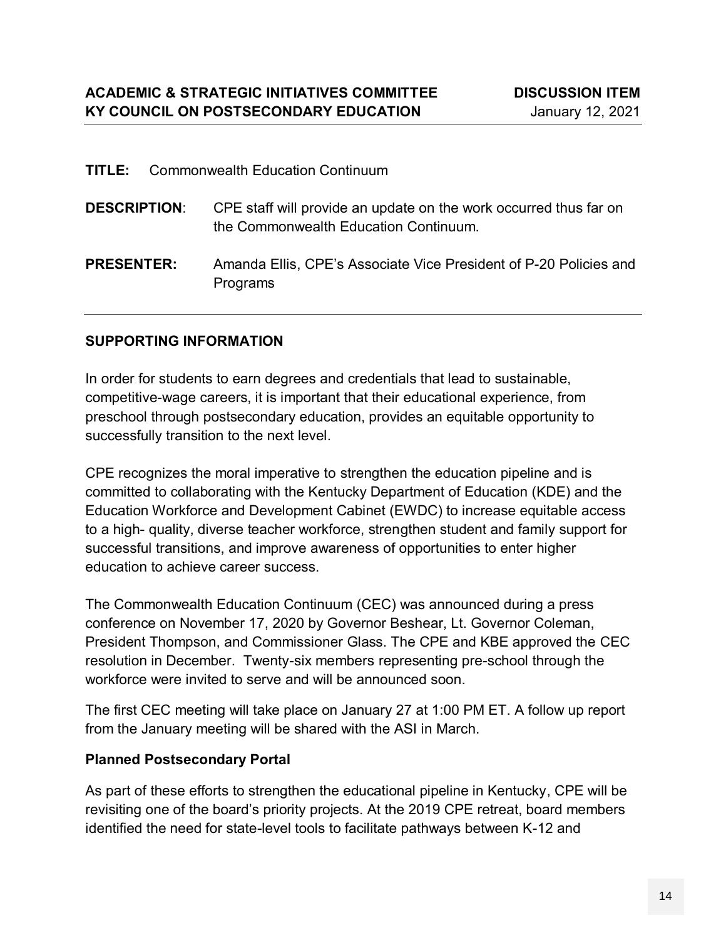| TITLE:              | Commonwealth Education Continuum                                                                           |
|---------------------|------------------------------------------------------------------------------------------------------------|
| <b>DESCRIPTION:</b> | CPE staff will provide an update on the work occurred thus far on<br>the Commonwealth Education Continuum. |
| <b>PRESENTER:</b>   | Amanda Ellis, CPE's Associate Vice President of P-20 Policies and<br>Programs                              |

#### **SUPPORTING INFORMATION**

In order for students to earn degrees and credentials that lead to sustainable, competitive-wage careers, it is important that their educational experience, from preschool through postsecondary education, provides an equitable opportunity to successfully transition to the next level.

CPE recognizes the moral imperative to strengthen the education pipeline and is committed to collaborating with the Kentucky Department of Education (KDE) and the Education Workforce and Development Cabinet (EWDC) to increase equitable access to a high- quality, diverse teacher workforce, strengthen student and family support for successful transitions, and improve awareness of opportunities to enter higher education to achieve career success.

The Commonwealth Education Continuum (CEC) was announced during a press conference on November 17, 2020 by Governor Beshear, Lt. Governor Coleman, President Thompson, and Commissioner Glass. The CPE and KBE approved the CEC resolution in December. Twenty-six members representing pre-school through the workforce were invited to serve and will be announced soon.

The first CEC meeting will take place on January 27 at 1:00 PM ET. A follow up report from the January meeting will be shared with the ASI in March.

#### **Planned Postsecondary Portal**

As part of these efforts to strengthen the educational pipeline in Kentucky, CPE will be revisiting one of the board's priority projects. At the 2019 CPE retreat, board members identified the need for state-level tools to facilitate pathways between K-12 and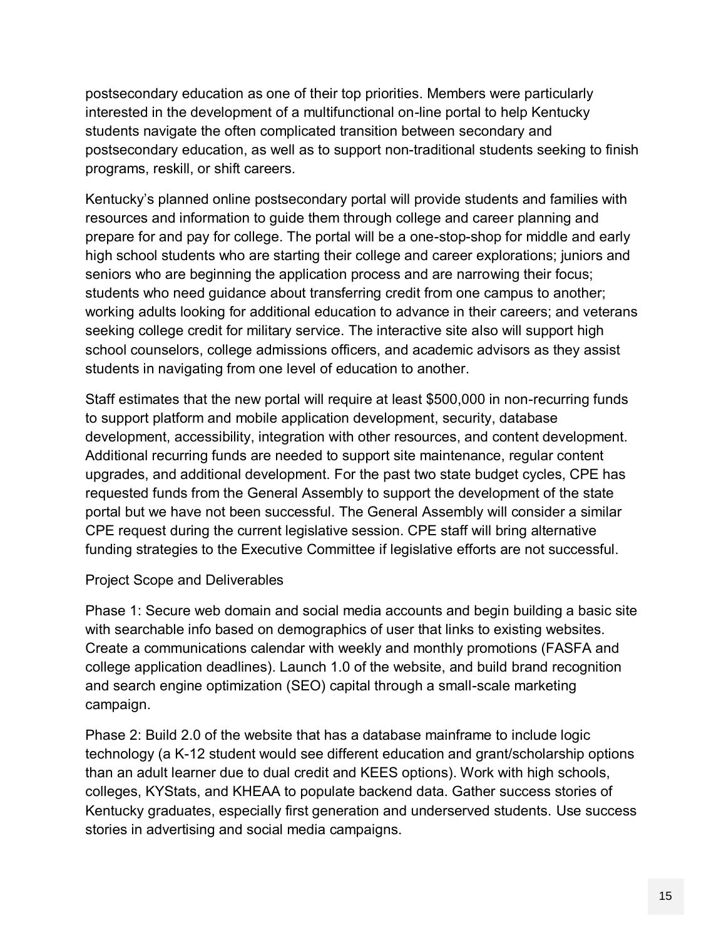postsecondary education as one of their top priorities. Members were particularly interested in the development of a multifunctional on-line portal to help Kentucky students navigate the often complicated transition between secondary and postsecondary education, as well as to support non-traditional students seeking to finish programs, reskill, or shift careers.

Kentucky's planned online postsecondary portal will provide students and families with resources and information to guide them through college and career planning and prepare for and pay for college. The portal will be a one-stop-shop for middle and early high school students who are starting their college and career explorations; juniors and seniors who are beginning the application process and are narrowing their focus; students who need guidance about transferring credit from one campus to another; working adults looking for additional education to advance in their careers; and veterans seeking college credit for military service. The interactive site also will support high school counselors, college admissions officers, and academic advisors as they assist students in navigating from one level of education to another.

Staff estimates that the new portal will require at least \$500,000 in non-recurring funds to support platform and mobile application development, security, database development, accessibility, integration with other resources, and content development. Additional recurring funds are needed to support site maintenance, regular content upgrades, and additional development. For the past two state budget cycles, CPE has requested funds from the General Assembly to support the development of the state portal but we have not been successful. The General Assembly will consider a similar CPE request during the current legislative session. CPE staff will bring alternative funding strategies to the Executive Committee if legislative efforts are not successful.

#### Project Scope and Deliverables

Phase 1: Secure web domain and social media accounts and begin building a basic site with searchable info based on demographics of user that links to existing websites. Create a communications calendar with weekly and monthly promotions (FASFA and college application deadlines). Launch 1.0 of the website, and build brand recognition and search engine optimization (SEO) capital through a small-scale marketing campaign.

Phase 2: Build 2.0 of the website that has a database mainframe to include logic technology (a K-12 student would see different education and grant/scholarship options than an adult learner due to dual credit and KEES options). Work with high schools, colleges, KYStats, and KHEAA to populate backend data. Gather success stories of Kentucky graduates, especially first generation and underserved students. Use success stories in advertising and social media campaigns.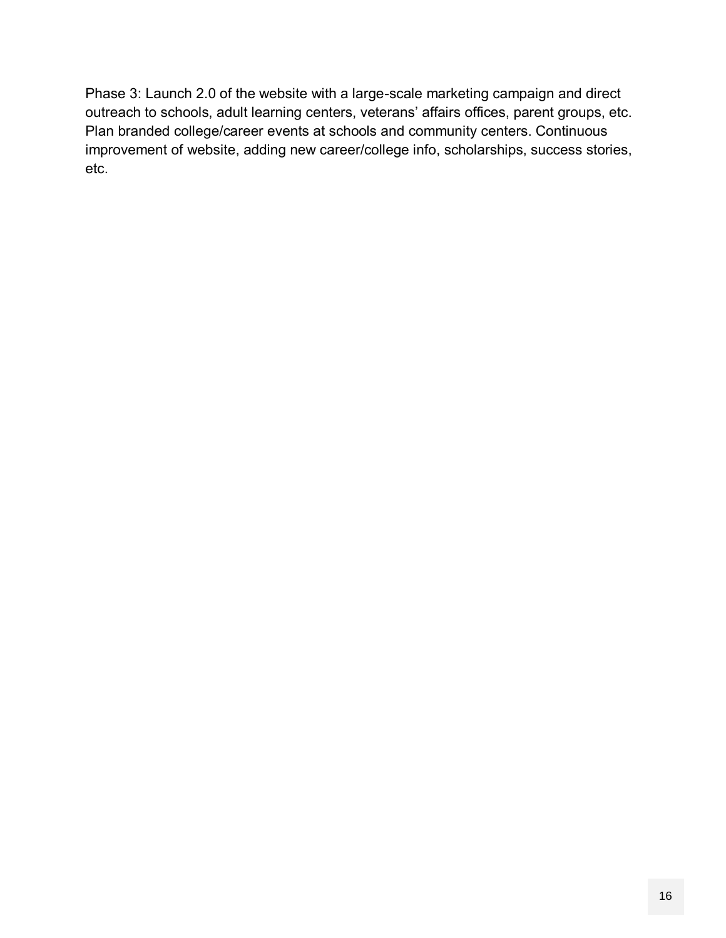Phase 3: Launch 2.0 of the website with a large-scale marketing campaign and direct outreach to schools, adult learning centers, veterans' affairs offices, parent groups, etc. Plan branded college/career events at schools and community centers. Continuous improvement of website, adding new career/college info, scholarships, success stories, etc.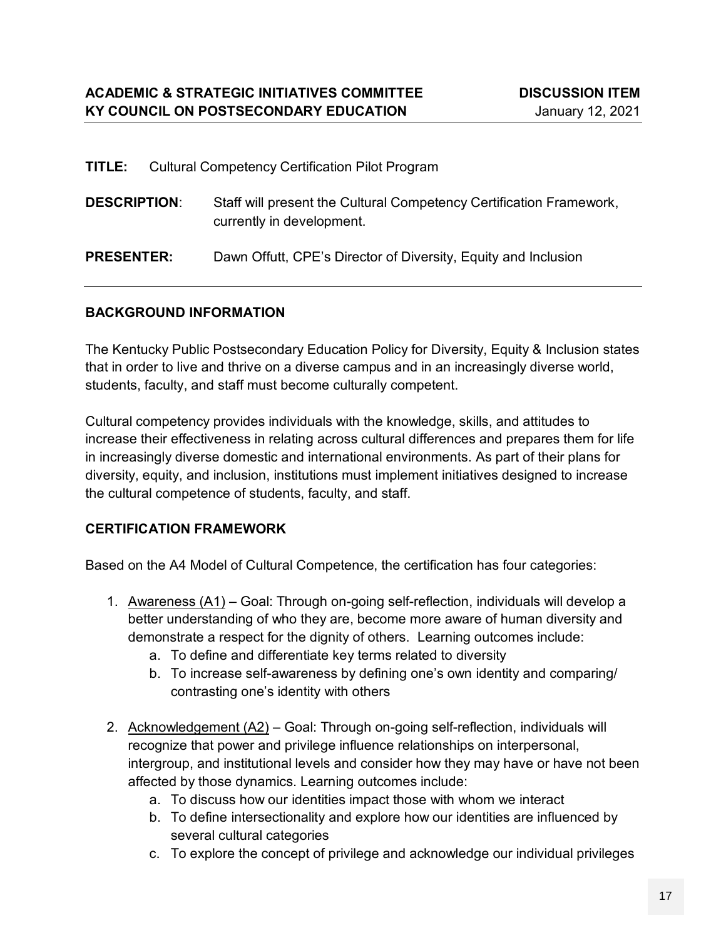| TITLE:              | <b>Cultural Competency Certification Pilot Program</b>                                           |
|---------------------|--------------------------------------------------------------------------------------------------|
| <b>DESCRIPTION:</b> | Staff will present the Cultural Competency Certification Framework,<br>currently in development. |
| <b>PRESENTER:</b>   | Dawn Offutt, CPE's Director of Diversity, Equity and Inclusion                                   |

#### **BACKGROUND INFORMATION**

The Kentucky Public Postsecondary Education Policy for Diversity, Equity & Inclusion states that in order to live and thrive on a diverse campus and in an increasingly diverse world, students, faculty, and staff must become culturally competent.

Cultural competency provides individuals with the knowledge, skills, and attitudes to increase their effectiveness in relating across cultural differences and prepares them for life in increasingly diverse domestic and international environments. As part of their plans for diversity, equity, and inclusion, institutions must implement initiatives designed to increase the cultural competence of students, faculty, and staff.

#### **CERTIFICATION FRAMEWORK**

Based on the A4 Model of Cultural Competence, the certification has four categories:

- 1. Awareness (A1) Goal: Through on-going self-reflection, individuals will develop a better understanding of who they are, become more aware of human diversity and demonstrate a respect for the dignity of others. Learning outcomes include:
	- a. To define and differentiate key terms related to diversity
	- b. To increase self-awareness by defining one's own identity and comparing/ contrasting one's identity with others
- 2. Acknowledgement (A2) Goal: Through on-going self-reflection, individuals will recognize that power and privilege influence relationships on interpersonal, intergroup, and institutional levels and consider how they may have or have not been affected by those dynamics. Learning outcomes include:
	- a. To discuss how our identities impact those with whom we interact
	- b. To define intersectionality and explore how our identities are influenced by several cultural categories
	- c. To explore the concept of privilege and acknowledge our individual privileges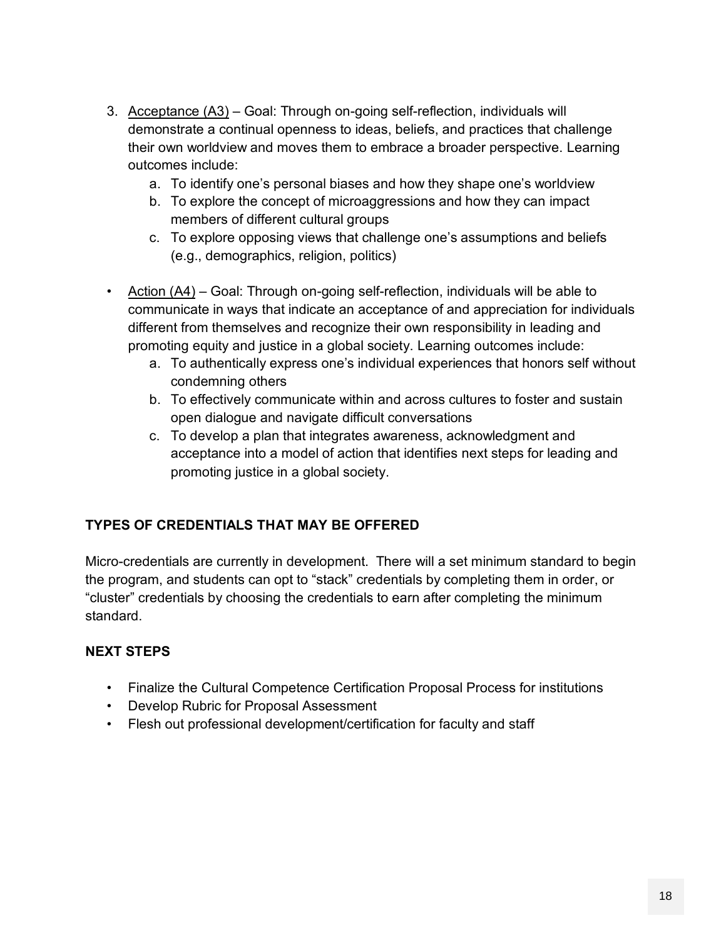- 3. Acceptance (A3) Goal: Through on-going self-reflection, individuals will demonstrate a continual openness to ideas, beliefs, and practices that challenge their own worldview and moves them to embrace a broader perspective. Learning outcomes include:
	- a. To identify one's personal biases and how they shape one's worldview
	- b. To explore the concept of microaggressions and how they can impact members of different cultural groups
	- c. To explore opposing views that challenge one's assumptions and beliefs (e.g., demographics, religion, politics)
- Action (A4) Goal: Through on-going self-reflection, individuals will be able to communicate in ways that indicate an acceptance of and appreciation for individuals different from themselves and recognize their own responsibility in leading and promoting equity and justice in a global society. Learning outcomes include:
	- a. To authentically express one's individual experiences that honors self without condemning others
	- b. To effectively communicate within and across cultures to foster and sustain open dialogue and navigate difficult conversations
	- c. To develop a plan that integrates awareness, acknowledgment and acceptance into a model of action that identifies next steps for leading and promoting justice in a global society.

#### **TYPES OF CREDENTIALS THAT MAY BE OFFERED**

Micro-credentials are currently in development. There will a set minimum standard to begin the program, and students can opt to "stack" credentials by completing them in order, or "cluster" credentials by choosing the credentials to earn after completing the minimum standard.

#### **NEXT STEPS**

- Finalize the Cultural Competence Certification Proposal Process for institutions
- Develop Rubric for Proposal Assessment
- Flesh out professional development/certification for faculty and staff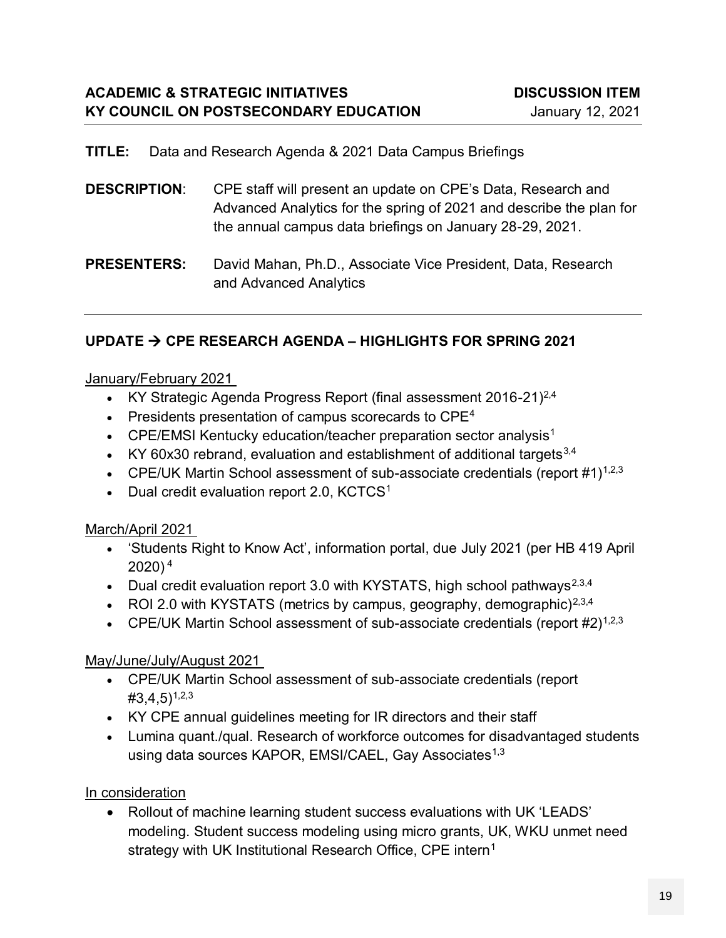#### **TITLE:** Data and Research Agenda & 2021 Data Campus Briefings

| <b>DESCRIPTION:</b><br>CPE staff will present an update on CPE's Data, Research and |                                                                     |
|-------------------------------------------------------------------------------------|---------------------------------------------------------------------|
|                                                                                     | Advanced Analytics for the spring of 2021 and describe the plan for |
|                                                                                     | the annual campus data briefings on January 28-29, 2021.            |

#### **PRESENTERS:** David Mahan, Ph.D., Associate Vice President, Data, Research and Advanced Analytics

#### **UPDATE CPE RESEARCH AGENDA – HIGHLIGHTS FOR SPRING 2021**

#### January/February 2021

- KY Strategic Agenda Progress Report (final assessment 2016-21)<sup>2,4</sup>
- **Presidents presentation of campus scorecards to CPE<sup>4</sup>**
- CPE/EMSI Kentucky education/teacher preparation sector analysis<sup>1</sup>
- KY 60x30 rebrand, evaluation and establishment of additional targets  $3,4$
- CPE/UK Martin School assessment of sub-associate credentials (report  $\#1$ )<sup>1,2,3</sup>
- Dual credit evaluation report 2.0, KCTCS<sup>1</sup>

#### March/April 2021

- 'Students Right to Know Act', information portal, due July 2021 (per HB 419 April 2020) 4
- Dual credit evaluation report 3.0 with KYSTATS, high school pathways<sup>2,3,4</sup>
- ROI 2.0 with KYSTATS (metrics by campus, geography, demographic)<sup>2,3,4</sup>
- CPE/UK Martin School assessment of sub-associate credentials (report  $#2$ )<sup>1,2,3</sup>

#### May/June/July/August 2021

- CPE/UK Martin School assessment of sub-associate credentials (report  $\#3,4,5$ <sup>1,2,3</sup>
- KY CPE annual guidelines meeting for IR directors and their staff
- Lumina quant./qual. Research of workforce outcomes for disadvantaged students using data sources KAPOR, EMSI/CAEL, Gay Associates<sup>1,3</sup>

#### In consideration

 Rollout of machine learning student success evaluations with UK 'LEADS' modeling. Student success modeling using micro grants, UK, WKU unmet need strategy with UK Institutional Research Office, CPE intern<sup>1</sup>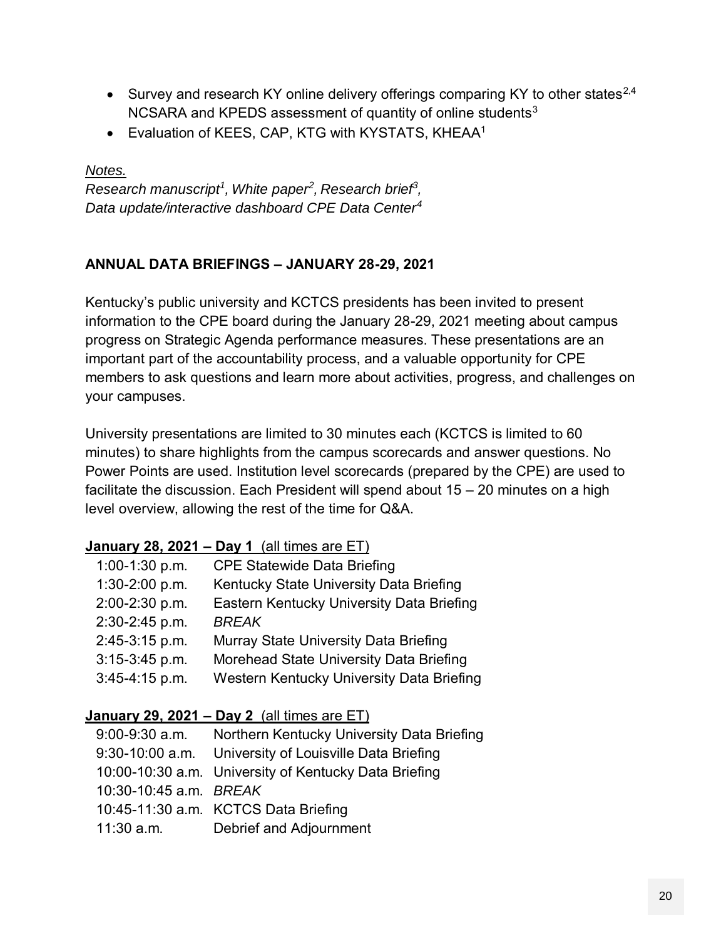- Survey and research KY online delivery offerings comparing KY to other states<sup>2,4</sup> NCSARA and KPEDS assessment of quantity of online students<sup>3</sup>
- Evaluation of KEES, CAP, KTG with KYSTATS, KHEAA<sup>1</sup>

#### *Notes.*

*Research manuscript<sup>1</sup> , White paper<sup>2</sup> , Research brief<sup>3</sup> , Data update/interactive dashboard CPE Data Center<sup>4</sup>*

#### **ANNUAL DATA BRIEFINGS – JANUARY 28-29, 2021**

Kentucky's public university and KCTCS presidents has been invited to present information to the CPE board during the January 28-29, 2021 meeting about campus progress on Strategic Agenda performance measures. These presentations are an important part of the accountability process, and a valuable opportunity for CPE members to ask questions and learn more about activities, progress, and challenges on your campuses.

University presentations are limited to 30 minutes each (KCTCS is limited to 60 minutes) to share highlights from the campus scorecards and answer questions. No Power Points are used. Institution level scorecards (prepared by the CPE) are used to facilitate the discussion. Each President will spend about 15 – 20 minutes on a high level overview, allowing the rest of the time for Q&A.

#### **January 28, 2021 – Day 1** (all times are ET)

| $1:00-1:30$ p.m. | <b>CPE Statewide Data Briefing</b>        |
|------------------|-------------------------------------------|
| 1:30-2:00 p.m.   | Kentucky State University Data Briefing   |
| 2:00-2:30 p.m.   | Eastern Kentucky University Data Briefing |
| 2:30-2:45 p.m.   | <b>BREAK</b>                              |
| $2:45-3:15$ p.m. | Murray State University Data Briefing     |
| $3:15-3:45$ p.m. | Morehead State University Data Briefing   |
| $3:45-4:15$ p.m. | Western Kentucky University Data Briefing |

#### **January 29, 2021 – Day 2** (all times are ET)

| 9:00-9:30 a.m.         | Northern Kentucky University Data Briefing             |
|------------------------|--------------------------------------------------------|
|                        | 9:30-10:00 a.m. University of Louisville Data Briefing |
|                        | 10:00-10:30 a.m. University of Kentucky Data Briefing  |
| 10:30-10:45 a.m. BREAK |                                                        |
|                        | 10:45-11:30 a.m. KCTCS Data Briefing                   |
| $11:30$ a.m.           | Debrief and Adjournment                                |
|                        |                                                        |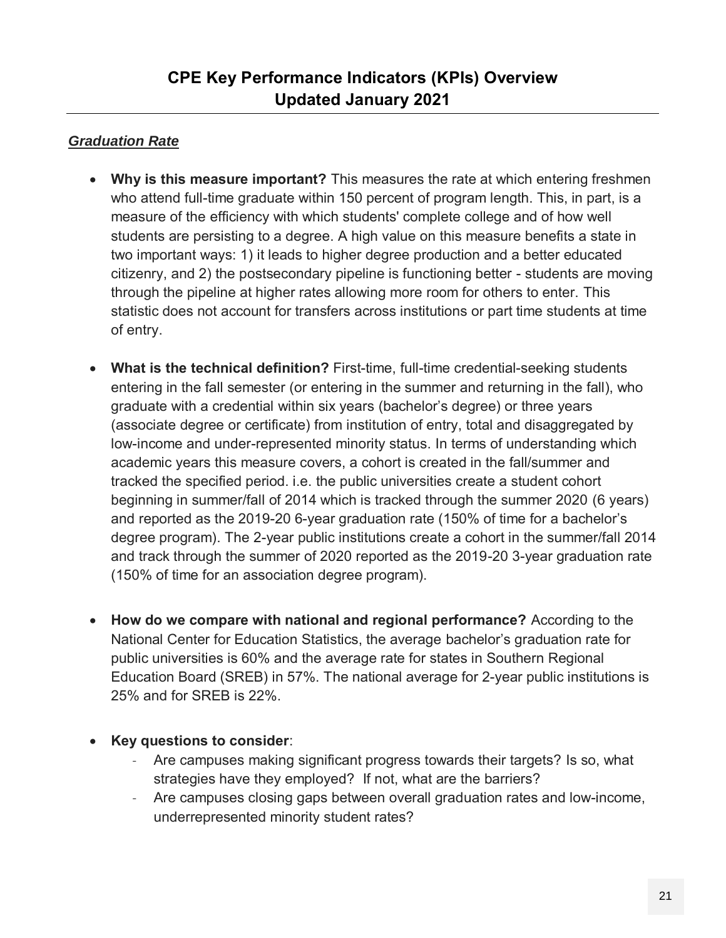### **CPE Key Performance Indicators (KPIs) Overview Updated January 2021**

#### *Graduation Rate*

- **Why is this measure important?** This measures the rate at which entering freshmen who attend full-time graduate within 150 percent of program length. This, in part, is a measure of the efficiency with which students' complete college and of how well students are persisting to a degree. A high value on this measure benefits a state in two important ways: 1) it leads to higher degree production and a better educated citizenry, and 2) the postsecondary pipeline is functioning better - students are moving through the pipeline at higher rates allowing more room for others to enter. This statistic does not account for transfers across institutions or part time students at time of entry.
- **What is the technical definition?** First-time, full-time credential-seeking students entering in the fall semester (or entering in the summer and returning in the fall), who graduate with a credential within six years (bachelor's degree) or three years (associate degree or certificate) from institution of entry, total and disaggregated by low-income and under-represented minority status. In terms of understanding which academic years this measure covers, a cohort is created in the fall/summer and tracked the specified period. i.e. the public universities create a student cohort beginning in summer/fall of 2014 which is tracked through the summer 2020 (6 years) and reported as the 2019-20 6-year graduation rate (150% of time for a bachelor's degree program). The 2-year public institutions create a cohort in the summer/fall 2014 and track through the summer of 2020 reported as the 2019-20 3-year graduation rate (150% of time for an association degree program).
- **How do we compare with national and regional performance?** According to the National Center for Education Statistics, the average bachelor's graduation rate for public universities is 60% and the average rate for states in Southern Regional Education Board (SREB) in 57%. The national average for 2-year public institutions is 25% and for SREB is 22%.
- **Key questions to consider**:
	- Are campuses making significant progress towards their targets? Is so, what strategies have they employed? If not, what are the barriers?
	- Are campuses closing gaps between overall graduation rates and low-income, underrepresented minority student rates?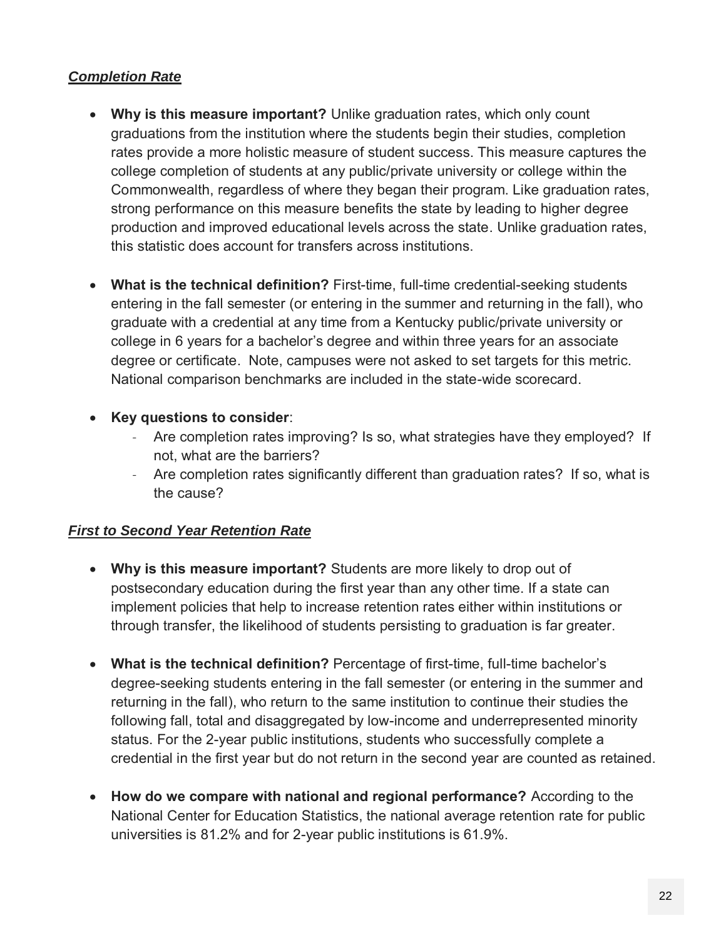#### *Completion Rate*

- **Why is this measure important?** Unlike graduation rates, which only count graduations from the institution where the students begin their studies, completion rates provide a more holistic measure of student success. This measure captures the college completion of students at any public/private university or college within the Commonwealth, regardless of where they began their program. Like graduation rates, strong performance on this measure benefits the state by leading to higher degree production and improved educational levels across the state. Unlike graduation rates, this statistic does account for transfers across institutions.
- **What is the technical definition?** First-time, full-time credential-seeking students entering in the fall semester (or entering in the summer and returning in the fall), who graduate with a credential at any time from a Kentucky public/private university or college in 6 years for a bachelor's degree and within three years for an associate degree or certificate. Note, campuses were not asked to set targets for this metric. National comparison benchmarks are included in the state-wide scorecard.
- **Key questions to consider**:
	- Are completion rates improving? Is so, what strategies have they employed? If not, what are the barriers?
	- Are completion rates significantly different than graduation rates? If so, what is the cause?

#### *First to Second Year Retention Rate*

- **Why is this measure important?** Students are more likely to drop out of postsecondary education during the first year than any other time. If a state can implement policies that help to increase retention rates either within institutions or through transfer, the likelihood of students persisting to graduation is far greater.
- **What is the technical definition?** Percentage of first-time, full-time bachelor's degree-seeking students entering in the fall semester (or entering in the summer and returning in the fall), who return to the same institution to continue their studies the following fall, total and disaggregated by low-income and underrepresented minority status. For the 2-year public institutions, students who successfully complete a credential in the first year but do not return in the second year are counted as retained.
- **How do we compare with national and regional performance?** According to the National Center for Education Statistics, the national average retention rate for public universities is 81.2% and for 2-year public institutions is 61.9%.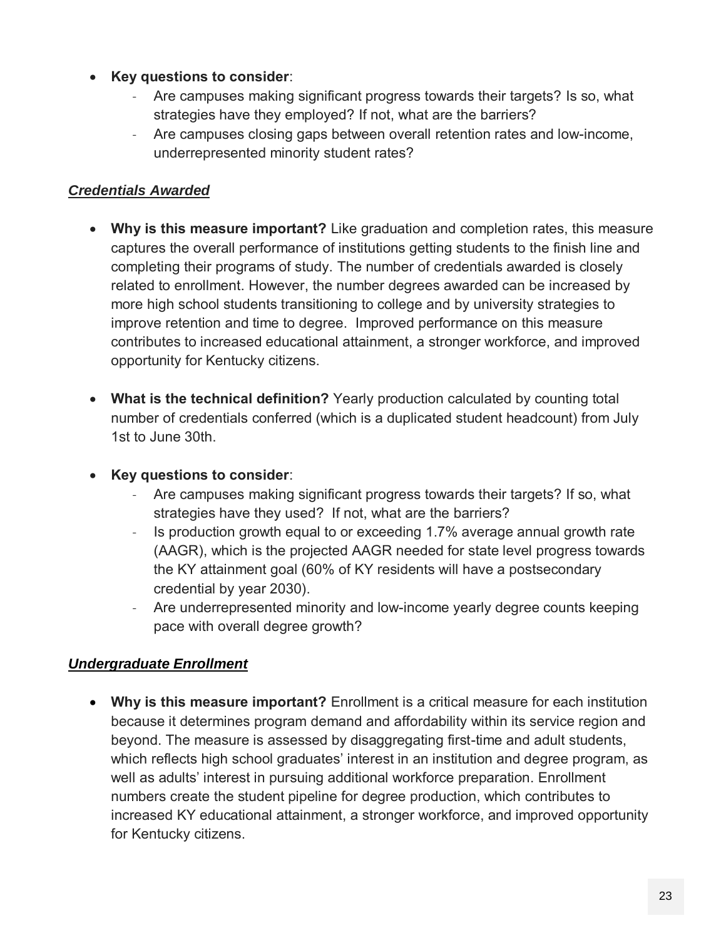- **Key questions to consider**:
	- Are campuses making significant progress towards their targets? Is so, what strategies have they employed? If not, what are the barriers?
	- Are campuses closing gaps between overall retention rates and low-income, underrepresented minority student rates?

#### *Credentials Awarded*

- **Why is this measure important?** Like graduation and completion rates, this measure captures the overall performance of institutions getting students to the finish line and completing their programs of study. The number of credentials awarded is closely related to enrollment. However, the number degrees awarded can be increased by more high school students transitioning to college and by university strategies to improve retention and time to degree. Improved performance on this measure contributes to increased educational attainment, a stronger workforce, and improved opportunity for Kentucky citizens.
- **What is the technical definition?** Yearly production calculated by counting total number of credentials conferred (which is a duplicated student headcount) from July 1st to June 30th.

#### **Key questions to consider**:

- Are campuses making significant progress towards their targets? If so, what strategies have they used? If not, what are the barriers?
- Is production growth equal to or exceeding 1.7% average annual growth rate (AAGR), which is the projected AAGR needed for state level progress towards the KY attainment goal (60% of KY residents will have a postsecondary credential by year 2030).
- Are underrepresented minority and low-income yearly degree counts keeping pace with overall degree growth?

#### *Undergraduate Enrollment*

 **Why is this measure important?** Enrollment is a critical measure for each institution because it determines program demand and affordability within its service region and beyond. The measure is assessed by disaggregating first-time and adult students, which reflects high school graduates' interest in an institution and degree program, as well as adults' interest in pursuing additional workforce preparation. Enrollment numbers create the student pipeline for degree production, which contributes to increased KY educational attainment, a stronger workforce, and improved opportunity for Kentucky citizens.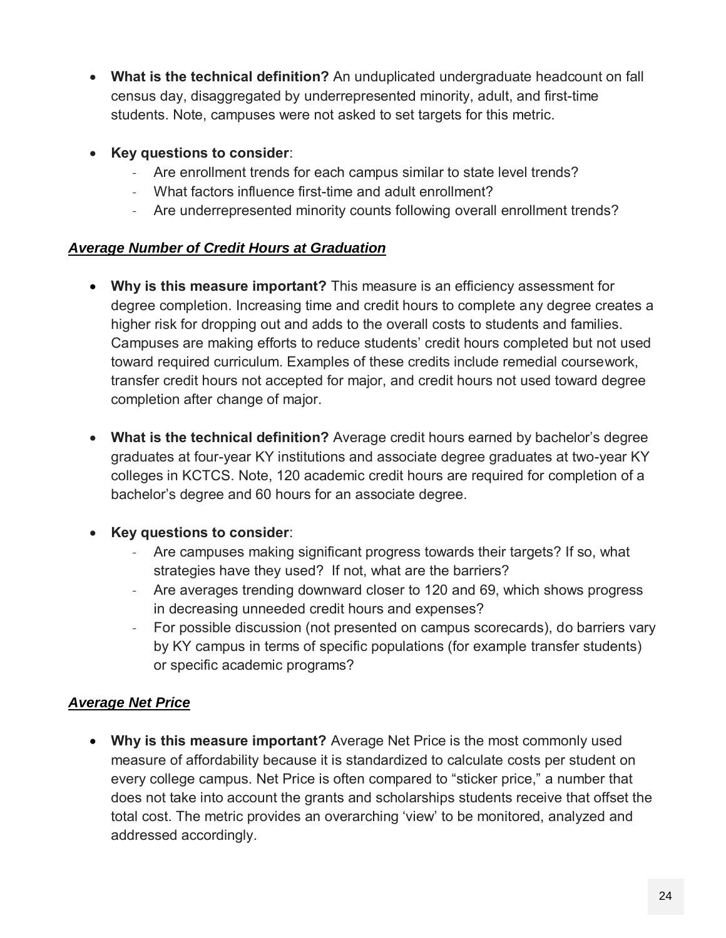- **What is the technical definition?** An unduplicated undergraduate headcount on fall census day, disaggregated by underrepresented minority, adult, and first-time students. Note, campuses were not asked to set targets for this metric.
- **Key questions to consider**:
	- Are enrollment trends for each campus similar to state level trends?
	- What factors influence first-time and adult enrollment?
	- Are underrepresented minority counts following overall enrollment trends?

#### *Average Number of Credit Hours at Graduation*

- **Why is this measure important?** This measure is an efficiency assessment for degree completion. Increasing time and credit hours to complete any degree creates a higher risk for dropping out and adds to the overall costs to students and families. Campuses are making efforts to reduce students' credit hours completed but not used toward required curriculum. Examples of these credits include remedial coursework, transfer credit hours not accepted for major, and credit hours not used toward degree completion after change of major.
- **What is the technical definition?** Average credit hours earned by bachelor's degree graduates at four-year KY institutions and associate degree graduates at two-year KY colleges in KCTCS. Note, 120 academic credit hours are required for completion of a bachelor's degree and 60 hours for an associate degree.

#### **Key questions to consider**:

- Are campuses making significant progress towards their targets? If so, what strategies have they used? If not, what are the barriers?
- Are averages trending downward closer to 120 and 69, which shows progress in decreasing unneeded credit hours and expenses?
- For possible discussion (not presented on campus scorecards), do barriers vary by KY campus in terms of specific populations (for example transfer students) or specific academic programs?

#### *Average Net Price*

 **Why is this measure important?** Average Net Price is the most commonly used measure of affordability because it is standardized to calculate costs per student on every college campus. Net Price is often compared to "sticker price," a number that does not take into account the grants and scholarships students receive that offset the total cost. The metric provides an overarching 'view' to be monitored, analyzed and addressed accordingly.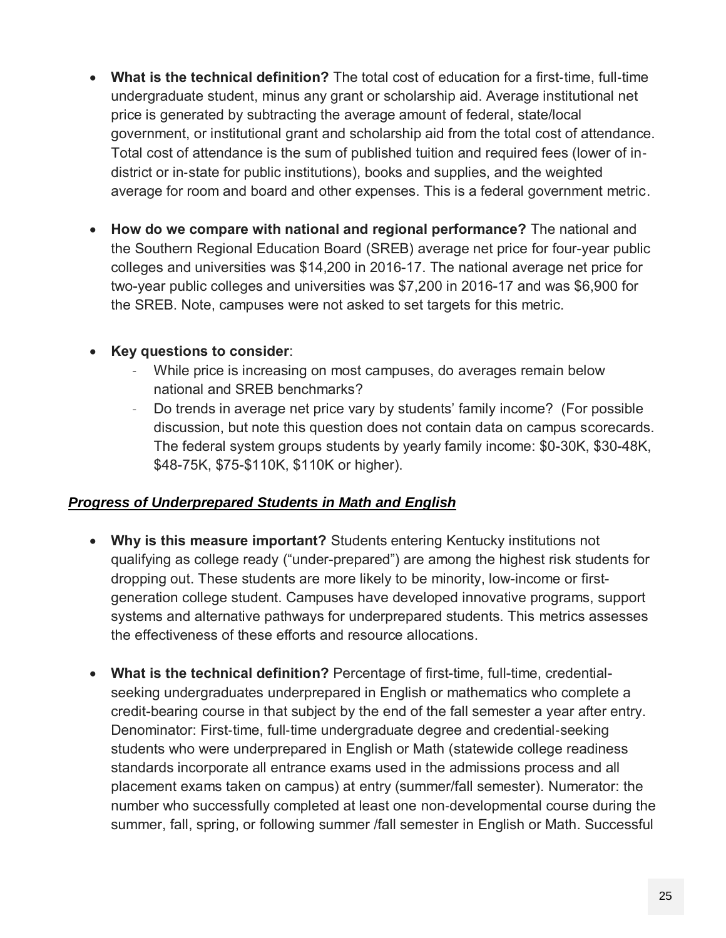- **What is the technical definition?** The total cost of education for a first‐time, full‐time undergraduate student, minus any grant or scholarship aid. Average institutional net price is generated by subtracting the average amount of federal, state/local government, or institutional grant and scholarship aid from the total cost of attendance. Total cost of attendance is the sum of published tuition and required fees (lower of in‐ district or in‐state for public institutions), books and supplies, and the weighted average for room and board and other expenses. This is a federal government metric.
- **How do we compare with national and regional performance?** The national and the Southern Regional Education Board (SREB) average net price for four-year public colleges and universities was \$14,200 in 2016-17. The national average net price for two-year public colleges and universities was \$7,200 in 2016-17 and was \$6,900 for the SREB. Note, campuses were not asked to set targets for this metric.

#### **Key questions to consider**:

- While price is increasing on most campuses, do averages remain below national and SREB benchmarks?
- Do trends in average net price vary by students' family income? (For possible discussion, but note this question does not contain data on campus scorecards. The federal system groups students by yearly family income: \$0-30K, \$30-48K, \$48-75K, \$75-\$110K, \$110K or higher).

#### *Progress of Underprepared Students in Math and English*

- **Why is this measure important?** Students entering Kentucky institutions not qualifying as college ready ("under-prepared") are among the highest risk students for dropping out. These students are more likely to be minority, low-income or firstgeneration college student. Campuses have developed innovative programs, support systems and alternative pathways for underprepared students. This metrics assesses the effectiveness of these efforts and resource allocations.
- **What is the technical definition?** Percentage of first-time, full-time, credentialseeking undergraduates underprepared in English or mathematics who complete a credit-bearing course in that subject by the end of the fall semester a year after entry. Denominator: First‐time, full‐time undergraduate degree and credential‐seeking students who were underprepared in English or Math (statewide college readiness standards incorporate all entrance exams used in the admissions process and all placement exams taken on campus) at entry (summer/fall semester). Numerator: the number who successfully completed at least one non‐developmental course during the summer, fall, spring, or following summer /fall semester in English or Math. Successful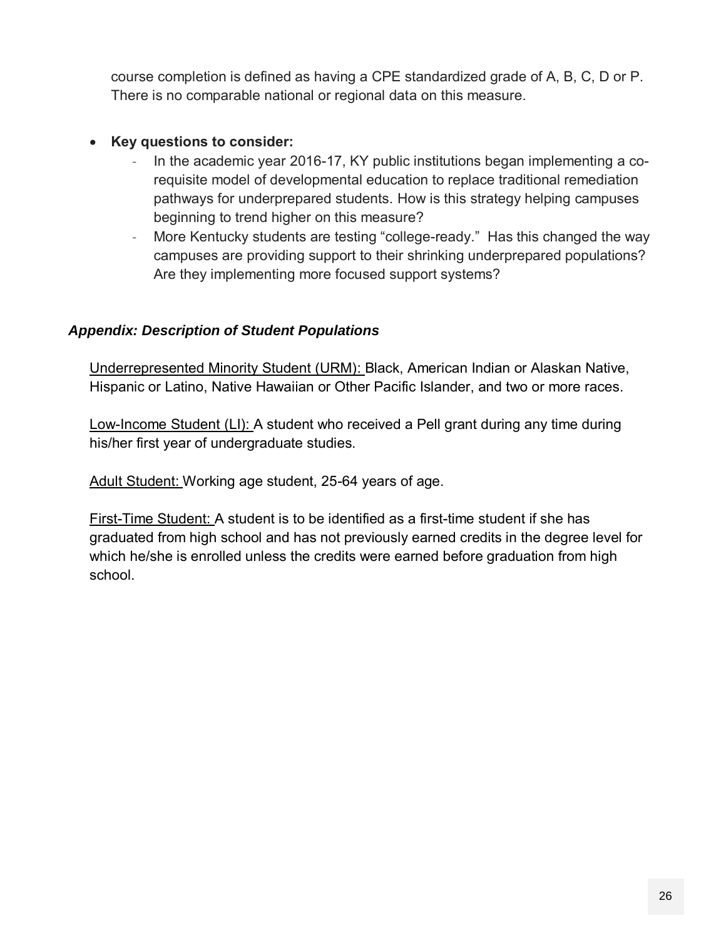course completion is defined as having a CPE standardized grade of A, B, C, D or P. There is no comparable national or regional data on this measure.

#### **Key questions to consider:**

- In the academic year 2016-17, KY public institutions began implementing a corequisite model of developmental education to replace traditional remediation pathways for underprepared students. How is this strategy helping campuses beginning to trend higher on this measure?
- More Kentucky students are testing "college-ready." Has this changed the way campuses are providing support to their shrinking underprepared populations? Are they implementing more focused support systems?

#### *Appendix: Description of Student Populations*

Underrepresented Minority Student (URM): Black, American Indian or Alaskan Native, Hispanic or Latino, Native Hawaiian or Other Pacific Islander, and two or more races.

Low-Income Student (LI): A student who received a Pell grant during any time during his/her first year of undergraduate studies.

Adult Student: Working age student, 25-64 years of age.

First-Time Student: A student is to be identified as a first-time student if she has graduated from high school and has not previously earned credits in the degree level for which he/she is enrolled unless the credits were earned before graduation from high school.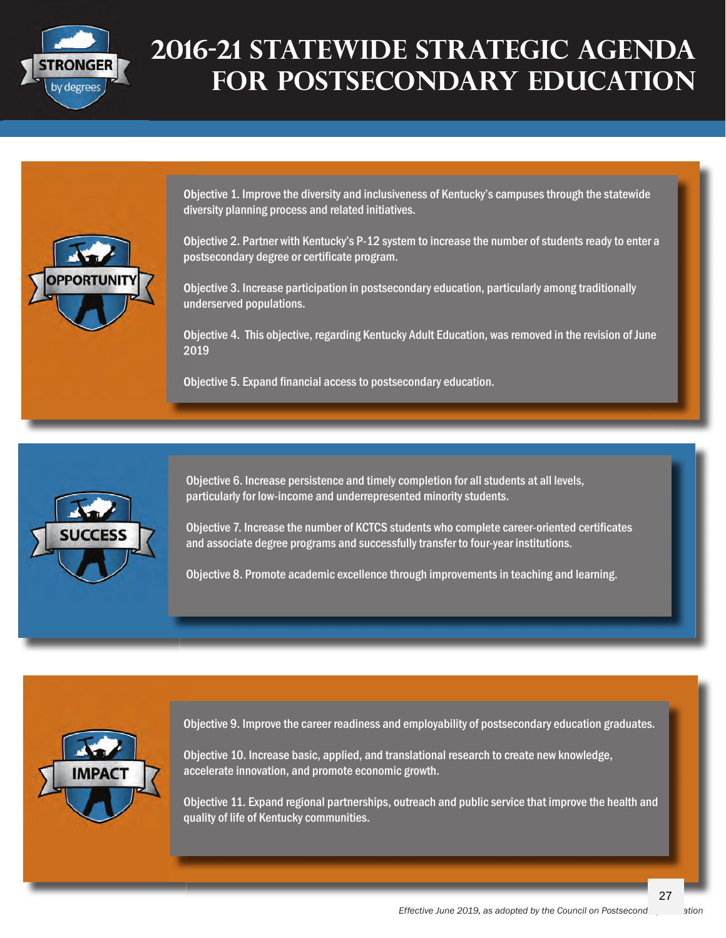

## **2016-21 Statewide Strategic Agenda for postsecondary education**

Objective 1. Improve the diversity and inclusiveness of Kentucky's campuses through the statewide diversity planning process and related initiatives.



Objective 2. Partner with Kentucky's P-12 system to increase the number of students ready to enter a postsecondary degree or certificate program.

Objective 3. Increase participation in postsecondary education, particularly among traditionally underserved populations.

Objective 4. This objective, regarding Kentucky Adult Education, was removed in the revision of June 2019

Objective 5. Expand financial access to postsecondary education.



Objective 6. Increase persistence and timely completion for all students at all levels, particularly for low-income and underrepresented minority students.

Objective 7. Increase the number of KCTCS students who complete career-oriented certificates and associate degree programs and successfully transfer to four-year institutions.

Objective 8. Promote academic excellence through improvements in teaching and learning.



Objective 9. Improve the career readiness and employability of postsecondary education graduates.

Objective 10. Increase basic, applied, and translational research to create new knowledge, accelerate innovation, and promote economic growth.

Objective 11. Expand regional partnerships, outreach and public service that improve the health and quality of life of Kentucky communities.

27